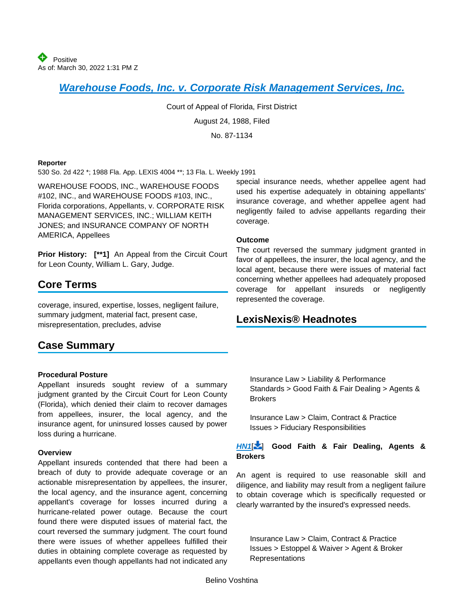*[Warehouse Foods, Inc. v. Corporate Risk Management Services, Inc.](https://advance.lexis.com/api/document?collection=cases&id=urn:contentItem:3RX6-FX20-003F-3404-00000-00&context=1000516)*

Court of Appeal of Florida, First District

August 24, 1988, Filed

No. 87-1134

#### **Reporter**

530 So. 2d 422 \*; 1988 Fla. App. LEXIS 4004 \*\*; 13 Fla. L. Weekly 1991

WAREHOUSE FOODS, INC., WAREHOUSE FOODS #102, INC., and WAREHOUSE FOODS #103, INC., Florida corporations, Appellants, v. CORPORATE RISK MANAGEMENT SERVICES, INC.; WILLIAM KEITH JONES; and INSURANCE COMPANY OF NORTH AMERICA, Appellees

**Prior History: [\*\*1]** An Appeal from the Circuit Court for Leon County, William L. Gary, Judge.

# **Core Terms**

coverage, insured, expertise, losses, negligent failure, summary judgment, material fact, present case, misrepresentation, precludes, advise

## **Case Summary**

### **Procedural Posture**

Appellant insureds sought review of a summary judgment granted by the Circuit Court for Leon County (Florida), which denied their claim to recover damages from appellees, insurer, the local agency, and the insurance agent, for uninsured losses caused by power loss during a hurricane.

#### **Overview**

Appellant insureds contended that there had been a breach of duty to provide adequate coverage or an actionable misrepresentation by appellees, the insurer, the local agency, and the insurance agent, concerning appellant's coverage for losses incurred during a hurricane-related power outage. Because the court found there were disputed issues of material fact, the court reversed the summary judgment. The court found there were issues of whether appellees fulfilled their duties in obtaining complete coverage as requested by appellants even though appellants had not indicated any

special insurance needs, whether appellee agent had used his expertise adequately in obtaining appellants' insurance coverage, and whether appellee agent had negligently failed to advise appellants regarding their coverage.

#### **Outcome**

The court reversed the summary judgment granted in favor of appellees, the insurer, the local agency, and the local agent, because there were issues of material fact concerning whether appellees had adequately proposed coverage for appellant insureds or negligently represented the coverage.

## **LexisNexis® Headnotes**

<span id="page-0-0"></span>Insurance Law > Liability & Performance Standards > Good Faith & Fair Dealing > Agents & **Brokers** 

Insurance Law > Claim, Contract & Practice Issues > Fiduciary Responsibilities

### *[HN1](https://advance.lexis.com/api/document?collection=cases&id=urn:contentItem:3RX6-FX20-003F-3404-00000-00&context=1000516&link=LNHNREFclscc1)*[ [\]](#page-1-0) **Good Faith & Fair Dealing, Agents & Brokers**

An agent is required to use reasonable skill and diligence, and liability may result from a negligent failure to obtain coverage which is specifically requested or clearly warranted by the insured's expressed needs.

<span id="page-0-1"></span>Insurance Law > Claim, Contract & Practice Issues > Estoppel & Waiver > Agent & Broker Representations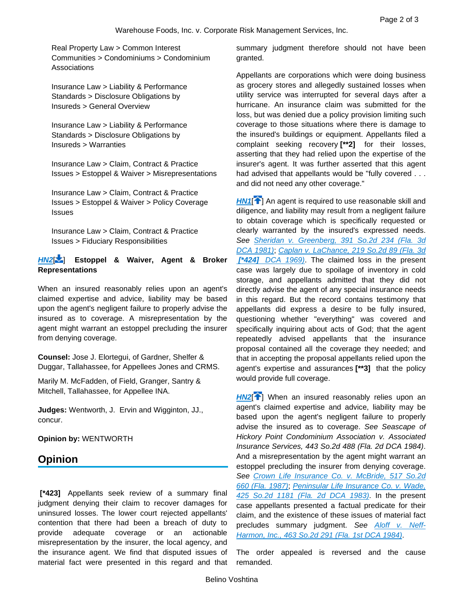Real Property Law > Common Interest Communities > Condominiums > Condominium Associations

Insurance Law > Liability & Performance Standards > Disclosure Obligations by Insureds > General Overview

Insurance Law > Liability & Performance Standards > Disclosure Obligations by Insureds > Warranties

Insurance Law > Claim, Contract & Practice Issues > Estoppel & Waiver > Misrepresentations

Insurance Law > Claim, Contract & Practice Issues > Estoppel & Waiver > Policy Coverage Issues

Insurance Law > Claim, Contract & Practice Issues > Fiduciary Responsibilities

### *[HN2](https://advance.lexis.com/api/document?collection=cases&id=urn:contentItem:3RX6-FX20-003F-3404-00000-00&context=1000516&link=LNHNREFclscc2)*[ [\]](#page-1-1) **Estoppel & Waiver, Agent & Broker Representations**

When an insured reasonably relies upon an agent's claimed expertise and advice, liability may be based upon the agent's negligent failure to properly advise the insured as to coverage. A misrepresentation by the agent might warrant an estoppel precluding the insurer from denying coverage.

**Counsel:** Jose J. Elortegui, of Gardner, Shelfer & Duggar, Tallahassee, for Appellees Jones and CRMS.

Marily M. McFadden, of Field, Granger, Santry & Mitchell, Tallahassee, for Appellee INA.

**Judges:** Wentworth, J. Ervin and Wigginton, JJ., concur.

**Opinion by:** WENTWORTH

## **Opinion**

**[\*423]** Appellants seek review of a summary final judgment denying their claim to recover damages for uninsured losses. The lower court rejected appellants' contention that there had been a breach of duty to provide adequate coverage or an actionable misrepresentation by the insurer, the local agency, and the insurance agent. We find that disputed issues of material fact were presented in this regard and that summary judgment therefore should not have been granted.

Appellants are corporations which were doing business as grocery stores and allegedly sustained losses when utility service was interrupted for several days after a hurricane. An insurance claim was submitted for the loss, but was denied due a policy provision limiting such coverage to those situations where there is damage to the insured's buildings or equipment. Appellants filed a complaint seeking recovery **[\*\*2]** for their losses, asserting that they had relied upon the expertise of the insurer's agent. It was further asserted that this agent had advised that appellants would be "fully covered . . . and did not need any other coverage."

<span id="page-1-0"></span>**[HN1](https://advance.lexis.com/api/document?collection=cases&id=urn:contentItem:3RX6-FX20-003F-3404-00000-00&context=1000516&link=clscc1)<sup>[4[\]](#page-0-0)</sup>** An agent is required to use reasonable skill and diligence, and liability may result from a negligent failure to obtain coverage which is specifically requested or clearly warranted by the insured's expressed needs. *See [Sheridan v. Greenberg, 391 So.2d 234 \(Fla. 3d](https://advance.lexis.com/api/document?collection=cases&id=urn:contentItem:3RRM-D0H0-003C-X1N5-00000-00&context=1000516)  [DCA 1981\)](https://advance.lexis.com/api/document?collection=cases&id=urn:contentItem:3RRM-D0H0-003C-X1N5-00000-00&context=1000516)*; *[Caplan v. LaChance, 219 So.2d 89 \(Fla. 3d](https://advance.lexis.com/api/document?collection=cases&id=urn:contentItem:3RRM-88P0-003C-W04B-00000-00&context=1000516)  [\[\\*424\]](https://advance.lexis.com/api/document?collection=cases&id=urn:contentItem:3RRM-88P0-003C-W04B-00000-00&context=1000516) DCA [1969\)](https://advance.lexis.com/api/document?collection=cases&id=urn:contentItem:3RRM-88P0-003C-W04B-00000-00&context=1000516)*. The claimed loss in the present case was largely due to spoilage of inventory in cold storage, and appellants admitted that they did not directly advise the agent of any special insurance needs in this regard. But the record contains testimony that appellants did express a desire to be fully insured, questioning whether "everything" was covered and specifically inquiring about acts of God; that the agent repeatedly advised appellants that the insurance proposal contained all the coverage they needed; and that in accepting the proposal appellants relied upon the agent's expertise and assurances **[\*\*3]** that the policy would provide full coverage.

<span id="page-1-1"></span>**[HN2](https://advance.lexis.com/api/document?collection=cases&id=urn:contentItem:3RX6-FX20-003F-3404-00000-00&context=1000516&link=clscc2)<sup>[4[\]](#page-0-1)</sup>** When an insured reasonably relies upon an agent's claimed expertise and advice, liability may be based upon the agent's negligent failure to properly advise the insured as to coverage. *See Seascape of Hickory Point Condominium Association v. Associated Insurance Services, 443 So.2d 488 (Fla. 2d DCA 1984)*. And a misrepresentation by the agent might warrant an estoppel precluding the insurer from denying coverage. *See Crown [Life Insurance Co. v. McBride, 517 So.2d](https://advance.lexis.com/api/document?collection=cases&id=urn:contentItem:3RRM-XF20-003D-X07W-00000-00&context=1000516)  [660 \(Fla. 1987\)](https://advance.lexis.com/api/document?collection=cases&id=urn:contentItem:3RRM-XF20-003D-X07W-00000-00&context=1000516)*; *[Peninsular Life Insurance Co. v. Wade,](https://advance.lexis.com/api/document?collection=cases&id=urn:contentItem:3RRM-9370-003C-X2BM-00000-00&context=1000516)  [425 So.2d 1181 \(Fla. 2d DCA 1983\)](https://advance.lexis.com/api/document?collection=cases&id=urn:contentItem:3RRM-9370-003C-X2BM-00000-00&context=1000516)*. In the present case appellants presented a factual predicate for their claim, and the existence of these issues of material fact precludes summary judgment. *See [Aloff v. Neff-](https://advance.lexis.com/api/document?collection=cases&id=urn:contentItem:3RRM-6T60-003C-X081-00000-00&context=1000516)[Harmon, Inc., 463 So.2d 291 \(Fla. 1st DCA 1984\)](https://advance.lexis.com/api/document?collection=cases&id=urn:contentItem:3RRM-6T60-003C-X081-00000-00&context=1000516)*.

The order appealed is reversed and the cause remanded.